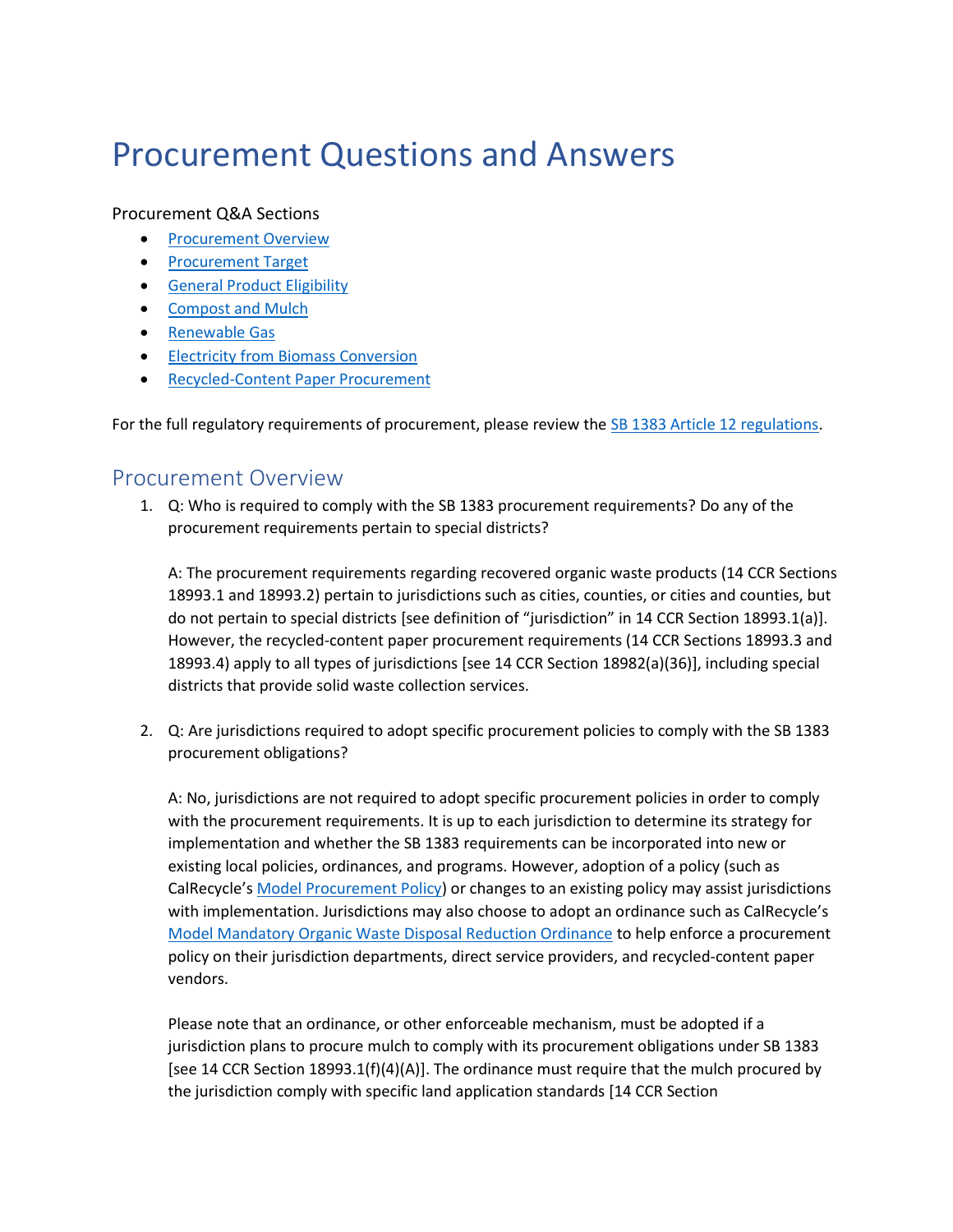# Procurement Questions and Answers

#### Procurement Q&A Sections

- [Procurement Overview](#page-0-0)
- [Procurement Target](#page-2-0)
- [General Product Eligibility](#page-8-0)
- [Compost and Mulch](#page-9-0)
- [Renewable Gas](#page-11-0)
- [Electricity from Biomass Conversion](#page-15-0)
- [Recycled-Content Paper Procurement](#page-16-0)

For the full regulatory requirements of procurement, please review the [SB 1383 Article 12 regulations.](https://govt.westlaw.com/calregs/Browse/Home/California/CaliforniaCodeofRegulations?guid=I16A07FADFC0E4126A007F492DC207387&originationContext=documenttoc&transitionType=Default&contextData=(sc.Default)&bhcp=1)

#### <span id="page-0-0"></span>Procurement Overview

1. Q: Who is required to comply with the SB 1383 procurement requirements? Do any of the procurement requirements pertain to special districts?

A: The procurement requirements regarding recovered organic waste products (14 CCR Sections 18993.1 and 18993.2) pertain to jurisdictions such as cities, counties, or cities and counties, but do not pertain to special districts [see definition of "jurisdiction" in 14 CCR Section 18993.1(a)]. However, the recycled-content paper procurement requirements (14 CCR Sections 18993.3 and 18993.4) apply to all types of jurisdictions [see 14 CCR Section 18982(a)(36)], including special districts that provide solid waste collection services.

2. Q: Are jurisdictions required to adopt specific procurement policies to comply with the SB 1383 procurement obligations?

A: No, jurisdictions are not required to adopt specific procurement policies in order to comply with the procurement requirements. It is up to each jurisdiction to determine its strategy for implementation and whether the SB 1383 requirements can be incorporated into new or existing local policies, ordinances, and programs. However, adoption of a policy (such as CalRecycle's [Model Procurement Policy\)](https://calrecycle.ca.gov/organics/slcp/education/#model) or changes to an existing policy may assist jurisdictions with implementation. Jurisdictions may also choose to adopt an ordinance such as CalRecycle's [Model Mandatory Organic Waste Disposal Reduction Ordinance](https://www2.calrecycle.ca.gov/Docs/Web/117930) to help enforce a procurement policy on their jurisdiction departments, direct service providers, and recycled-content paper vendors.

Please note that an ordinance, or other enforceable mechanism, must be adopted if a jurisdiction plans to procure mulch to comply with its procurement obligations under SB 1383 [see 14 CCR Section 18993.1(f)(4)(A)]. The ordinance must require that the mulch procured by the jurisdiction comply with specific land application standards [14 CCR Section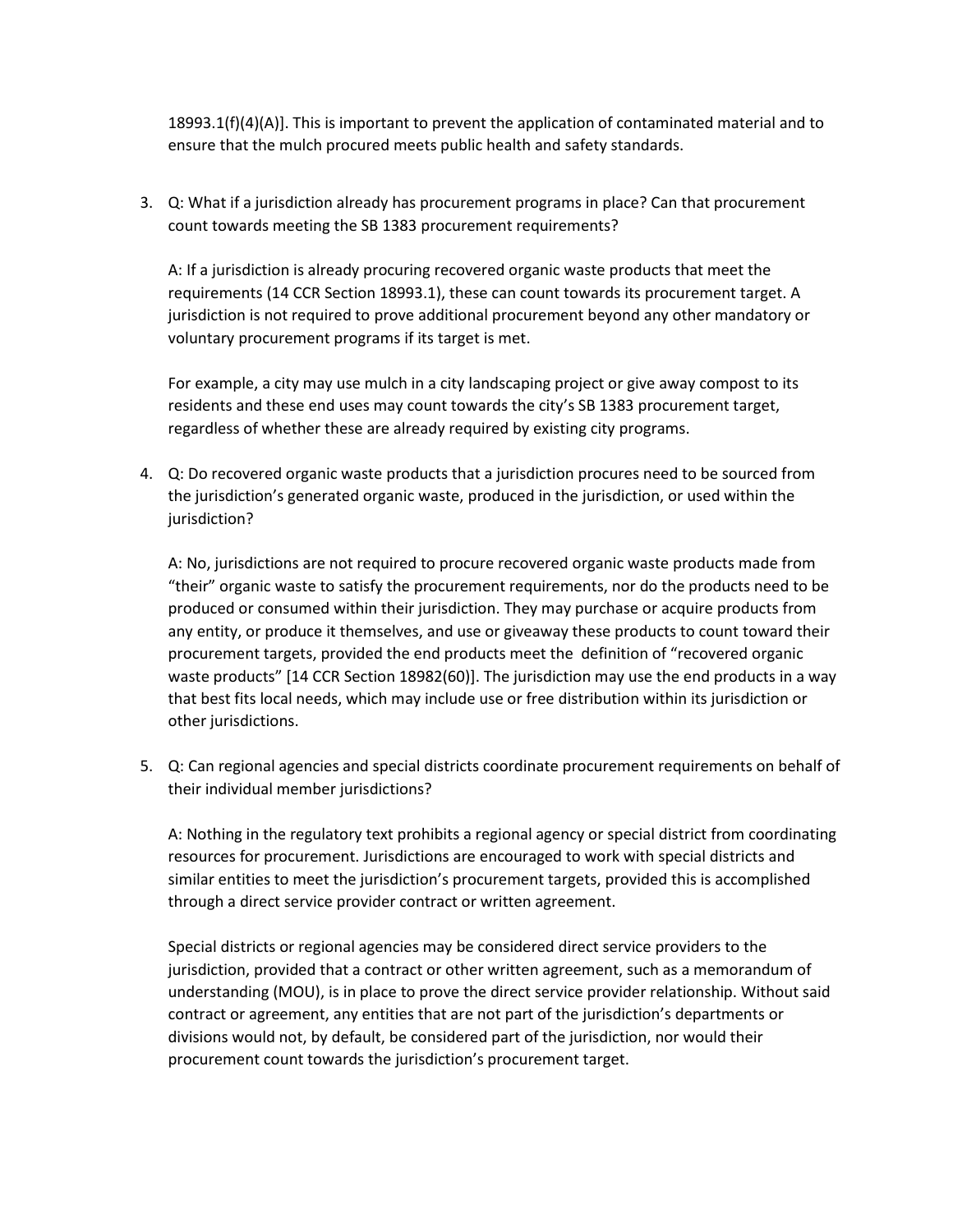$18993.1(f)(4)(A)$ . This is important to prevent the application of contaminated material and to ensure that the mulch procured meets public health and safety standards.

3. Q: What if a jurisdiction already has procurement programs in place? Can that procurement count towards meeting the SB 1383 procurement requirements?

A: If a jurisdiction is already procuring recovered organic waste products that meet the requirements (14 CCR Section 18993.1), these can count towards its procurement target. A jurisdiction is not required to prove additional procurement beyond any other mandatory or voluntary procurement programs if its target is met.

For example, a city may use mulch in a city landscaping project or give away compost to its residents and these end uses may count towards the city's SB 1383 procurement target, regardless of whether these are already required by existing city programs.

4. Q: Do recovered organic waste products that a jurisdiction procures need to be sourced from the jurisdiction's generated organic waste, produced in the jurisdiction, or used within the jurisdiction?

A: No, jurisdictions are not required to procure recovered organic waste products made from "their" organic waste to satisfy the procurement requirements, nor do the products need to be produced or consumed within their jurisdiction. They may purchase or acquire products from any entity, or produce it themselves, and use or giveaway these products to count toward their procurement targets, provided the end products meet the definition of "recovered organic waste products" [14 CCR Section 18982(60)]. The jurisdiction may use the end products in a way that best fits local needs, which may include use or free distribution within its jurisdiction or other jurisdictions.

5. Q: Can regional agencies and special districts coordinate procurement requirements on behalf of their individual member jurisdictions?

A: Nothing in the regulatory text prohibits a regional agency or special district from coordinating resources for procurement. Jurisdictions are encouraged to work with special districts and similar entities to meet the jurisdiction's procurement targets, provided this is accomplished through a direct service provider contract or written agreement.

Special districts or regional agencies may be considered direct service providers to the jurisdiction, provided that a contract or other written agreement, such as a memorandum of understanding (MOU), is in place to prove the direct service provider relationship. Without said contract or agreement, any entities that are not part of the jurisdiction's departments or divisions would not, by default, be considered part of the jurisdiction, nor would their procurement count towards the jurisdiction's procurement target.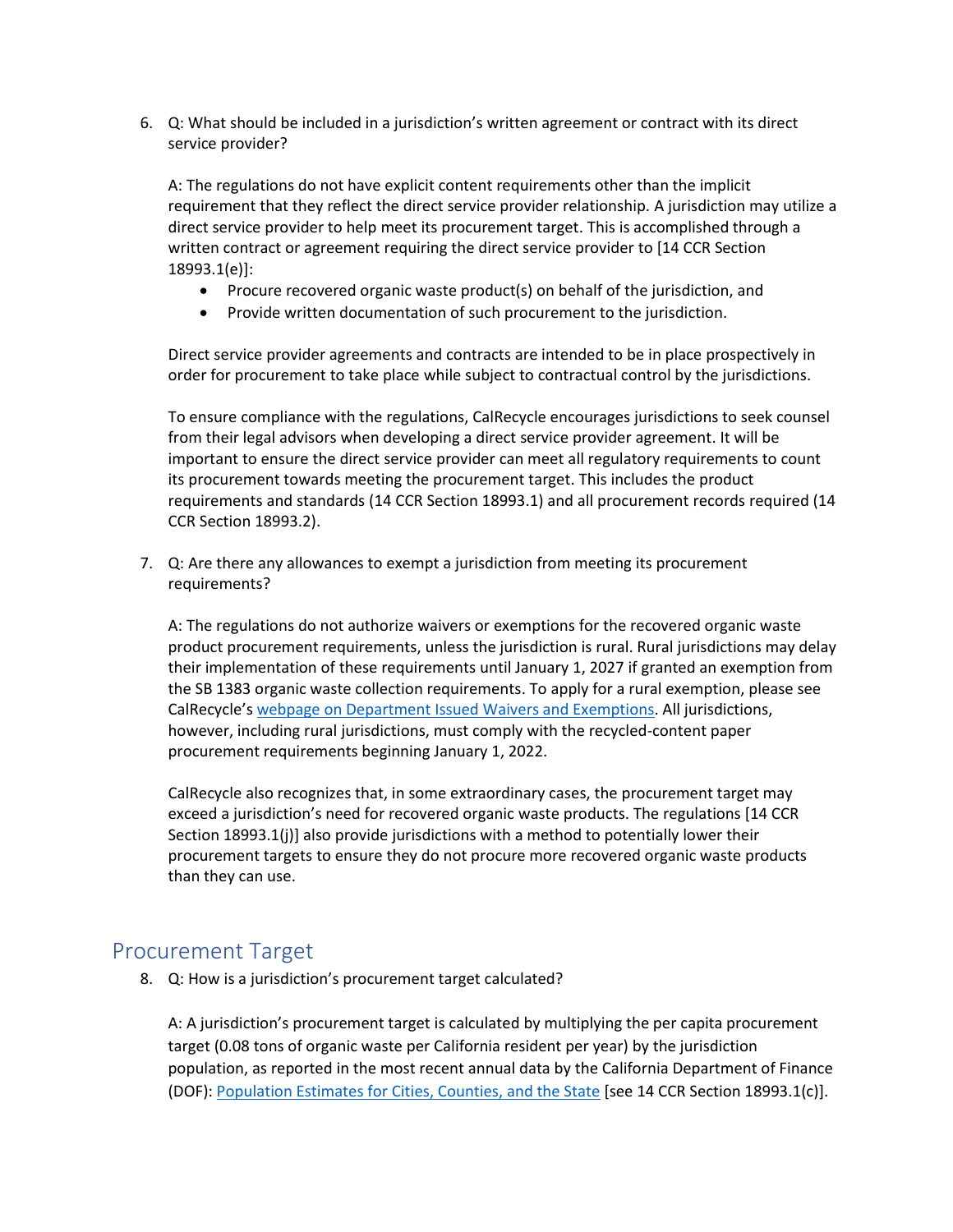6. Q: What should be included in a jurisdiction's written agreement or contract with its direct service provider?

A: The regulations do not have explicit content requirements other than the implicit requirement that they reflect the direct service provider relationship. A jurisdiction may utilize a direct service provider to help meet its procurement target. This is accomplished through a written contract or agreement requiring the direct service provider to [14 CCR Section 18993.1(e)]:

- Procure recovered organic waste product(s) on behalf of the jurisdiction, and
- Provide written documentation of such procurement to the jurisdiction.

Direct service provider agreements and contracts are intended to be in place prospectively in order for procurement to take place while subject to contractual control by the jurisdictions.

To ensure compliance with the regulations, CalRecycle encourages jurisdictions to seek counsel from their legal advisors when developing a direct service provider agreement. It will be important to ensure the direct service provider can meet all regulatory requirements to count its procurement towards meeting the procurement target. This includes the product requirements and standards (14 CCR Section 18993.1) and all procurement records required (14 CCR Section 18993.2).

7. Q: Are there any allowances to exempt a jurisdiction from meeting its procurement requirements?

A: The regulations do not authorize waivers or exemptions for the recovered organic waste product procurement requirements, unless the jurisdiction is rural. Rural jurisdictions may delay their implementation of these requirements until January 1, 2027 if granted an exemption from the SB 1383 organic waste collection requirements. To apply for a rural exemption, please see CalRecycle's [webpage on Department Issued Waivers and Exemptions.](https://www.calrecycle.ca.gov/organics/slcp/waivers) All jurisdictions, however, including rural jurisdictions, must comply with the recycled-content paper procurement requirements beginning January 1, 2022.

CalRecycle also recognizes that, in some extraordinary cases, the procurement target may exceed a jurisdiction's need for recovered organic waste products. The regulations [14 CCR Section 18993.1(j)] also provide jurisdictions with a method to potentially lower their procurement targets to ensure they do not procure more recovered organic waste products than they can use.

#### <span id="page-2-0"></span>Procurement Target

8. Q: How is a jurisdiction's procurement target calculated?

A: A jurisdiction's procurement target is calculated by multiplying the per capita procurement target (0.08 tons of organic waste per California resident per year) by the jurisdiction population, as reported in the most recent annual data by the California Department of Finance (DOF): [Population Estimates for Cities, Counties, and the State](http://www.dof.ca.gov/Forecasting/Demographics/Estimates/e-1/) [see 14 CCR Section 18993.1(c)].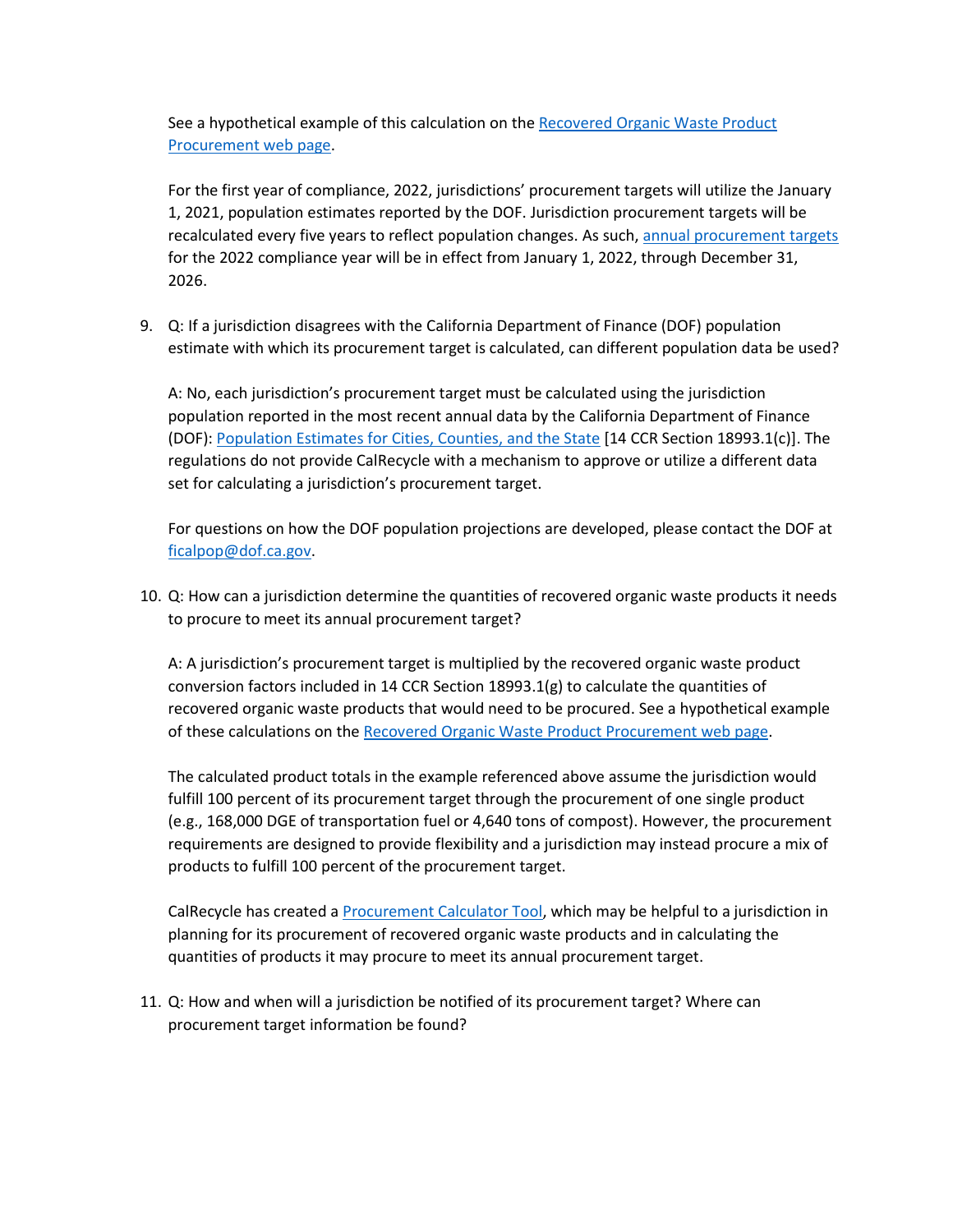See a hypothetical example of this calculation on the [Recovered Organic Waste Product](https://www.calrecycle.ca.gov/organics/slcp/procurement/recoveredorganicwasteproducts#:~:text=each%20jurisdiction%E2%80%99s%20population.-,Example,-%3A)  [Procurement web](https://www.calrecycle.ca.gov/organics/slcp/procurement/recoveredorganicwasteproducts#:~:text=each%20jurisdiction%E2%80%99s%20population.-,Example,-%3A) page.

For the first year of compliance, 2022, jurisdictions' procurement targets will utilize the January 1, 2021, population estimates reported by the DOF. Jurisdiction procurement targets will be recalculated every five years to reflect population changes. As such, [annual procurement targets](https://www2.calrecycle.ca.gov/Docs/Web/119889) for the 2022 compliance year will be in effect from January 1, 2022, through December 31, 2026.

9. Q: If a jurisdiction disagrees with the California Department of Finance (DOF) population estimate with which its procurement target is calculated, can different population data be used?

A: No, each jurisdiction's procurement target must be calculated using the jurisdiction population reported in the most recent annual data by the California Department of Finance (DOF): [Population Estimates for Cities, Counties, and the State](http://www.dof.ca.gov/Forecasting/Demographics/Estimates/e-1/) [14 CCR Section 18993.1(c)]. The regulations do not provide CalRecycle with a mechanism to approve or utilize a different data set for calculating a jurisdiction's procurement target.

For questions on how the DOF population projections are developed, please contact the DOF at [ficalpop@dof.ca.gov.](mailto:ficalpop@dof.ca.gov)

10. Q: How can a jurisdiction determine the quantities of recovered organic waste products it needs to procure to meet its annual procurement target?

A: A jurisdiction's procurement target is multiplied by the recovered organic waste product conversion factors included in 14 CCR Section 18993.1(g) to calculate the quantities of recovered organic waste products that would need to be procured. See a hypothetical example of these calculations on th[e Recovered Organic Waste Product Procurement web page.](https://www.calrecycle.ca.gov/organics/slcp/procurement/recoveredorganicwasteproducts#:~:text=jurisdiction%20may%20procure.-,The,-graphic%20below%20demonstrates)

The calculated product totals in the example referenced above assume the jurisdiction would fulfill 100 percent of its procurement target through the procurement of one single product (e.g., 168,000 DGE of transportation fuel or 4,640 tons of compost). However, the procurement requirements are designed to provide flexibility and a jurisdiction may instead procure a mix of products to fulfill 100 percent of the procurement target.

CalRecycle has created a [Procurement Calculator Tool,](https://www2.calrecycle.ca.gov/Docs/Web/118908) which may be helpful to a jurisdiction in planning for its procurement of recovered organic waste products and in calculating the quantities of products it may procure to meet its annual procurement target.

11. Q: How and when will a jurisdiction be notified of its procurement target? Where can procurement target information be found?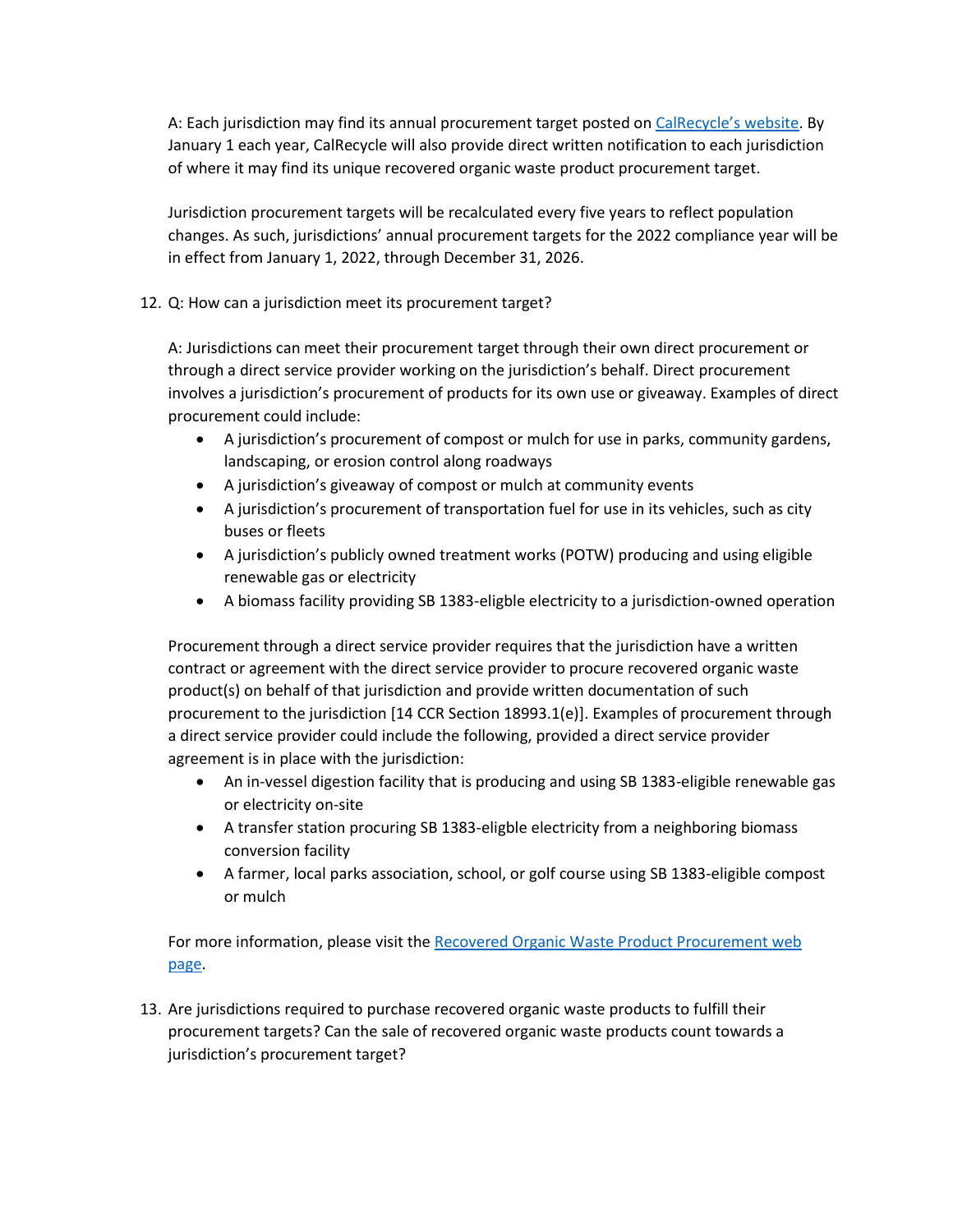A: Each jurisdiction may find its annual procurement target posted on [CalRecycle'](https://www2.calrecycle.ca.gov/Docs/Web/119889)s website. By January 1 each year, CalRecycle will also provide direct written notification to each jurisdiction of where it may find its unique recovered organic waste product procurement target.

Jurisdiction procurement targets will be recalculated every five years to reflect population changes. As such, jurisdictions' annual procurement targets for the 2022 compliance year will be in effect from January 1, 2022, through December 31, 2026.

12. Q: How can a jurisdiction meet its procurement target?

A: Jurisdictions can meet their procurement target through their own direct procurement or through a direct service provider working on the jurisdiction's behalf. Direct procurement involves a jurisdiction's procurement of products for its own use or giveaway. Examples of direct procurement could include:

- A jurisdiction's procurement of compost or mulch for use in parks, community gardens, landscaping, or erosion control along roadways
- A jurisdiction's giveaway of compost or mulch at community events
- A jurisdiction's procurement of transportation fuel for use in its vehicles, such as city buses or fleets
- A jurisdiction's publicly owned treatment works (POTW) producing and using eligible renewable gas or electricity
- A biomass facility providing SB 1383-eligble electricity to a jurisdiction-owned operation

Procurement through a direct service provider requires that the jurisdiction have a written contract or agreement with the direct service provider to procure recovered organic waste product(s) on behalf of that jurisdiction and provide written documentation of such procurement to the jurisdiction [14 CCR Section 18993.1(e)]. Examples of procurement through a direct service provider could include the following, provided a direct service provider agreement is in place with the jurisdiction:

- An in-vessel digestion facility that is producing and using SB 1383-eligible renewable gas or electricity on-site
- A transfer station procuring SB 1383-eligble electricity from a neighboring biomass conversion facility
- A farmer, local parks association, school, or golf course using SB 1383-eligible compost or mulch

For more information, please visit the Recovered Organic Waste Product Procurement web [page.](https://www.calrecycle.ca.gov/organics/slcp/procurement/recoveredorganicwasteproducts)

13. Are jurisdictions required to purchase recovered organic waste products to fulfill their procurement targets? Can the sale of recovered organic waste products count towards a jurisdiction's procurement target?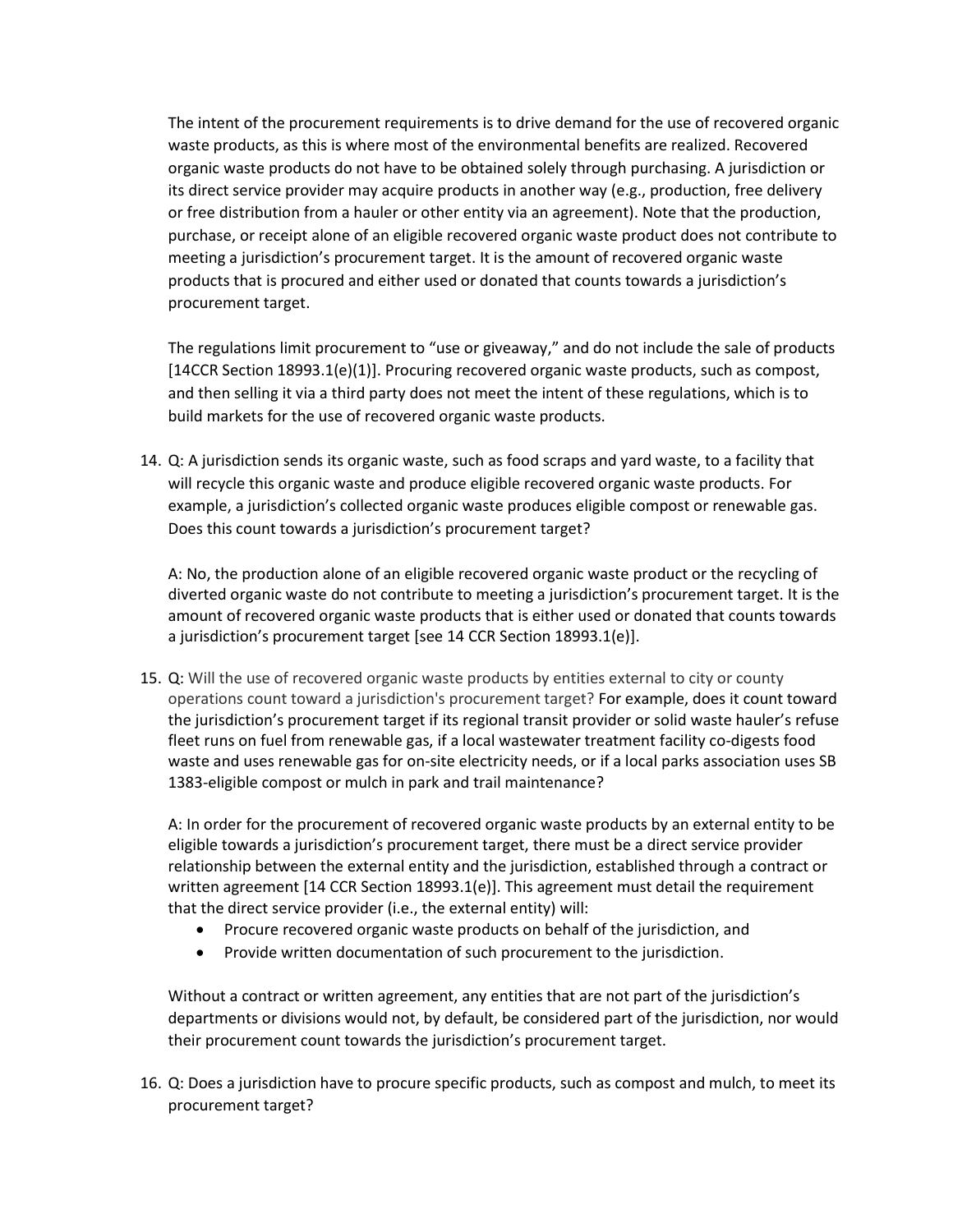The intent of the procurement requirements is to drive demand for the use of recovered organic waste products, as this is where most of the environmental benefits are realized. Recovered organic waste products do not have to be obtained solely through purchasing. A jurisdiction or its direct service provider may acquire products in another way (e.g., production, free delivery or free distribution from a hauler or other entity via an agreement). Note that the production, purchase, or receipt alone of an eligible recovered organic waste product does not contribute to meeting a jurisdiction's procurement target. It is the amount of recovered organic waste products that is procured and either used or donated that counts towards a jurisdiction's procurement target.

The regulations limit procurement to "use or giveaway," and do not include the sale of products [14CCR Section 18993.1(e)(1)]. Procuring recovered organic waste products, such as compost, and then selling it via a third party does not meet the intent of these regulations, which is to build markets for the use of recovered organic waste products.

14. Q: A jurisdiction sends its organic waste, such as food scraps and yard waste, to a facility that will recycle this organic waste and produce eligible recovered organic waste products. For example, a jurisdiction's collected organic waste produces eligible compost or renewable gas. Does this count towards a jurisdiction's procurement target?

A: No, the production alone of an eligible recovered organic waste product or the recycling of diverted organic waste do not contribute to meeting a jurisdiction's procurement target. It is the amount of recovered organic waste products that is either used or donated that counts towards a jurisdiction's procurement target [see 14 CCR Section 18993.1(e)].

15. Q: Will the use of recovered organic waste products by entities external to city or county operations count toward a jurisdiction's procurement target? For example, does it count toward the jurisdiction's procurement target if its regional transit provider or solid waste hauler's refuse fleet runs on fuel from renewable gas, if a local wastewater treatment facility co-digests food waste and uses renewable gas for on-site electricity needs, or if a local parks association uses SB 1383-eligible compost or mulch in park and trail maintenance?

A: In order for the procurement of recovered organic waste products by an external entity to be eligible towards a jurisdiction's procurement target, there must be a direct service provider relationship between the external entity and the jurisdiction, established through a contract or written agreement [14 CCR Section 18993.1(e)]. This agreement must detail the requirement that the direct service provider (i.e., the external entity) will:

- Procure recovered organic waste products on behalf of the jurisdiction, and
- Provide written documentation of such procurement to the jurisdiction.

Without a contract or written agreement, any entities that are not part of the jurisdiction's departments or divisions would not, by default, be considered part of the jurisdiction, nor would their procurement count towards the jurisdiction's procurement target.

16. Q: Does a jurisdiction have to procure specific products, such as compost and mulch, to meet its procurement target?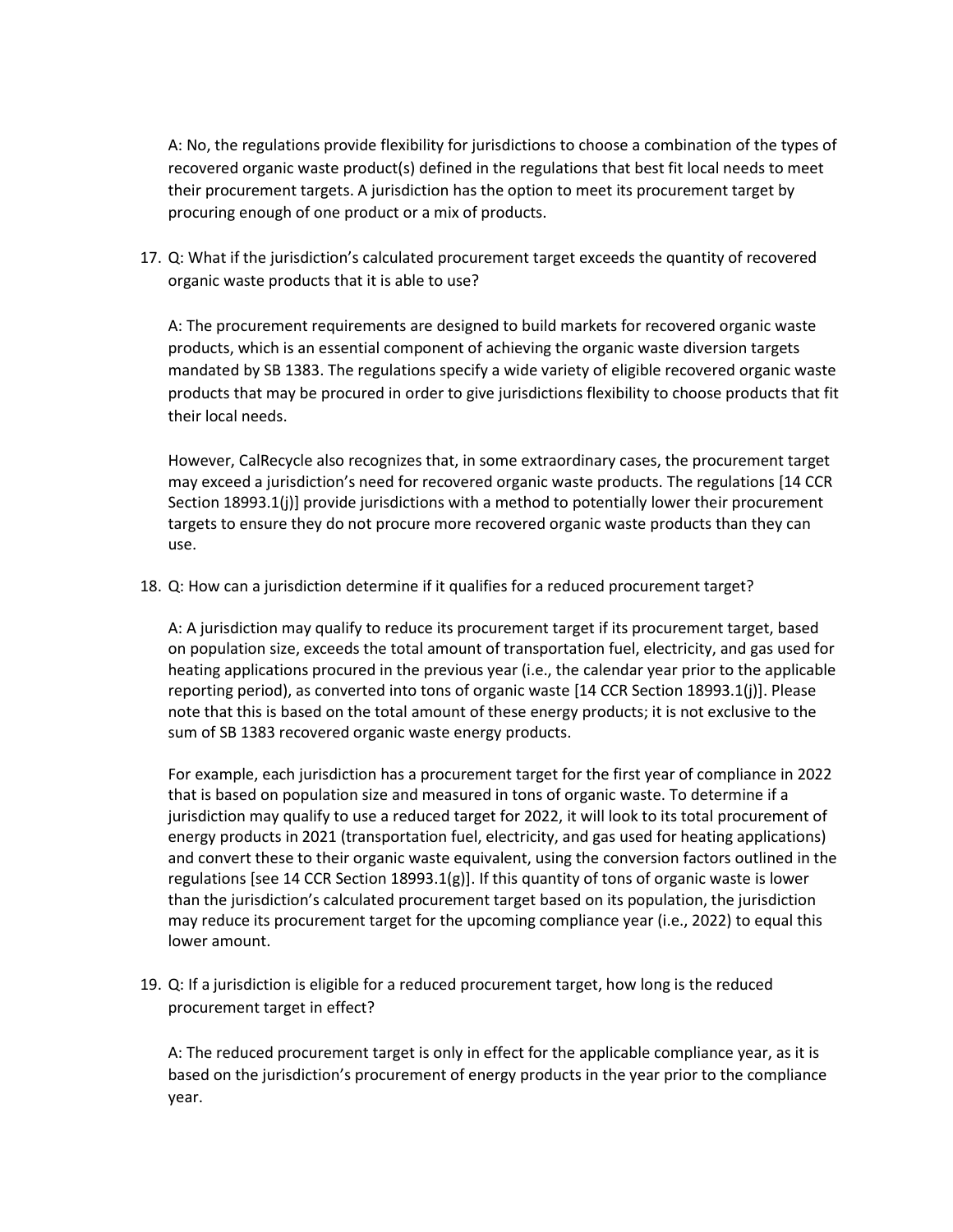A: No, the regulations provide flexibility for jurisdictions to choose a combination of the types of recovered organic waste product(s) defined in the regulations that best fit local needs to meet their procurement targets. A jurisdiction has the option to meet its procurement target by procuring enough of one product or a mix of products.

17. Q: What if the jurisdiction's calculated procurement target exceeds the quantity of recovered organic waste products that it is able to use?

A: The procurement requirements are designed to build markets for recovered organic waste products, which is an essential component of achieving the organic waste diversion targets mandated by SB 1383. The regulations specify a wide variety of eligible recovered organic waste products that may be procured in order to give jurisdictions flexibility to choose products that fit their local needs.

However, CalRecycle also recognizes that, in some extraordinary cases, the procurement target may exceed a jurisdiction's need for recovered organic waste products. The regulations [14 CCR Section 18993.1(j)] provide jurisdictions with a method to potentially lower their procurement targets to ensure they do not procure more recovered organic waste products than they can use.

18. Q: How can a jurisdiction determine if it qualifies for a reduced procurement target?

A: A jurisdiction may qualify to reduce its procurement target if its procurement target, based on population size, exceeds the total amount of transportation fuel, electricity, and gas used for heating applications procured in the previous year (i.e., the calendar year prior to the applicable reporting period), as converted into tons of organic waste [14 CCR Section 18993.1(j)]. Please note that this is based on the total amount of these energy products; it is not exclusive to the sum of SB 1383 recovered organic waste energy products.

For example, each jurisdiction has a procurement target for the first year of compliance in 2022 that is based on population size and measured in tons of organic waste. To determine if a jurisdiction may qualify to use a reduced target for 2022, it will look to its total procurement of energy products in 2021 (transportation fuel, electricity, and gas used for heating applications) and convert these to their organic waste equivalent, using the conversion factors outlined in the regulations [see 14 CCR Section 18993.1(g)]. If this quantity of tons of organic waste is lower than the jurisdiction's calculated procurement target based on its population, the jurisdiction may reduce its procurement target for the upcoming compliance year (i.e., 2022) to equal this lower amount.

19. Q: If a jurisdiction is eligible for a reduced procurement target, how long is the reduced procurement target in effect?

A: The reduced procurement target is only in effect for the applicable compliance year, as it is based on the jurisdiction's procurement of energy products in the year prior to the compliance year.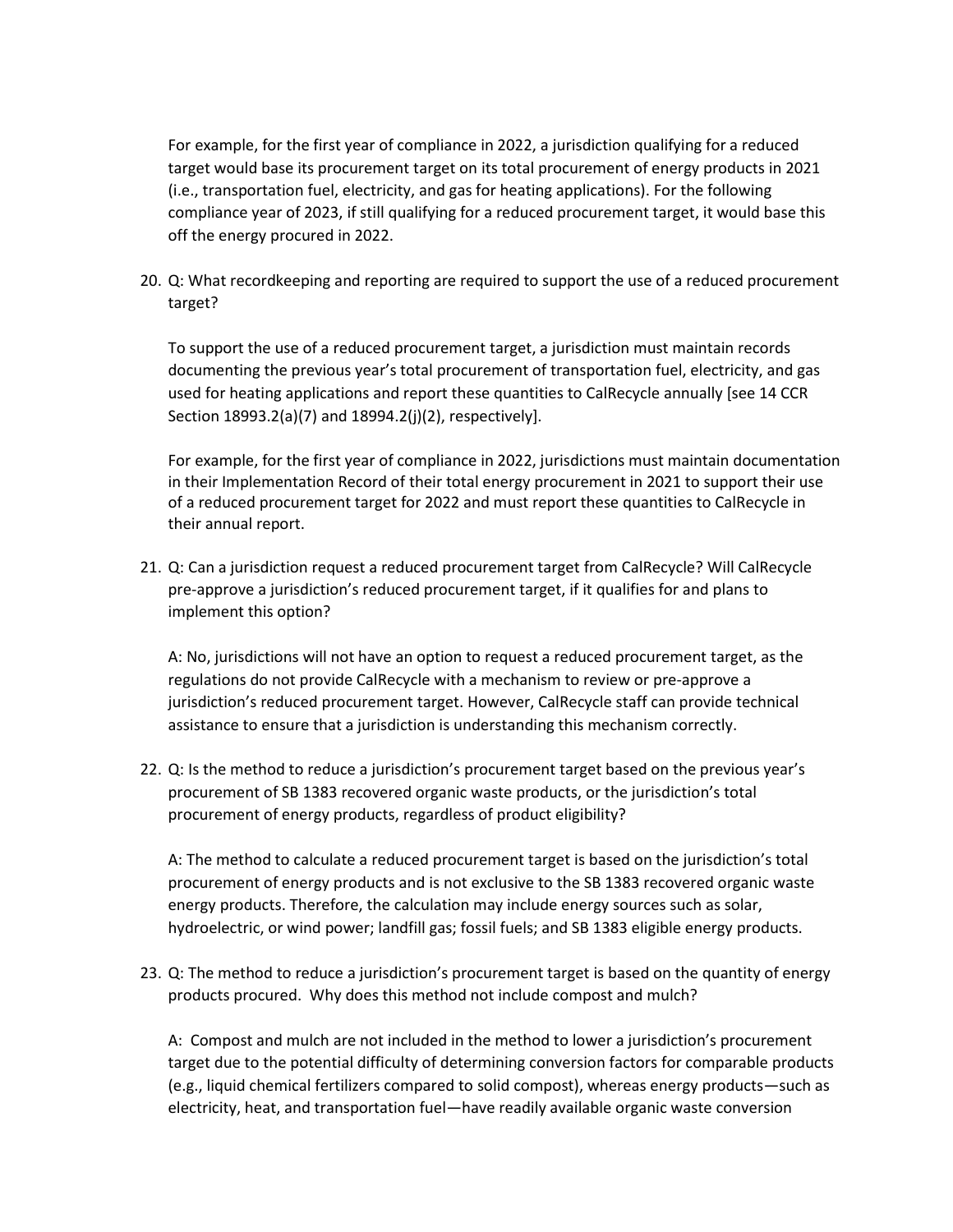For example, for the first year of compliance in 2022, a jurisdiction qualifying for a reduced target would base its procurement target on its total procurement of energy products in 2021 (i.e., transportation fuel, electricity, and gas for heating applications). For the following compliance year of 2023, if still qualifying for a reduced procurement target, it would base this off the energy procured in 2022.

20. Q: What recordkeeping and reporting are required to support the use of a reduced procurement target?

To support the use of a reduced procurement target, a jurisdiction must maintain records documenting the previous year's total procurement of transportation fuel, electricity, and gas used for heating applications and report these quantities to CalRecycle annually [see 14 CCR Section 18993.2(a)(7) and 18994.2(j)(2), respectively].

For example, for the first year of compliance in 2022, jurisdictions must maintain documentation in their Implementation Record of their total energy procurement in 2021 to support their use of a reduced procurement target for 2022 and must report these quantities to CalRecycle in their annual report.

21. Q: Can a jurisdiction request a reduced procurement target from CalRecycle? Will CalRecycle pre-approve a jurisdiction's reduced procurement target, if it qualifies for and plans to implement this option?

A: No, jurisdictions will not have an option to request a reduced procurement target, as the regulations do not provide CalRecycle with a mechanism to review or pre-approve a jurisdiction's reduced procurement target. However, CalRecycle staff can provide technical assistance to ensure that a jurisdiction is understanding this mechanism correctly.

22. Q: Is the method to reduce a jurisdiction's procurement target based on the previous year's procurement of SB 1383 recovered organic waste products, or the jurisdiction's total procurement of energy products, regardless of product eligibility?

A: The method to calculate a reduced procurement target is based on the jurisdiction's total procurement of energy products and is not exclusive to the SB 1383 recovered organic waste energy products. Therefore, the calculation may include energy sources such as solar, hydroelectric, or wind power; landfill gas; fossil fuels; and SB 1383 eligible energy products.

23. Q: The method to reduce a jurisdiction's procurement target is based on the quantity of energy products procured. Why does this method not include compost and mulch?

A: Compost and mulch are not included in the method to lower a jurisdiction's procurement target due to the potential difficulty of determining conversion factors for comparable products (e.g., liquid chemical fertilizers compared to solid compost), whereas energy products—such as electricity, heat, and transportation fuel—have readily available organic waste conversion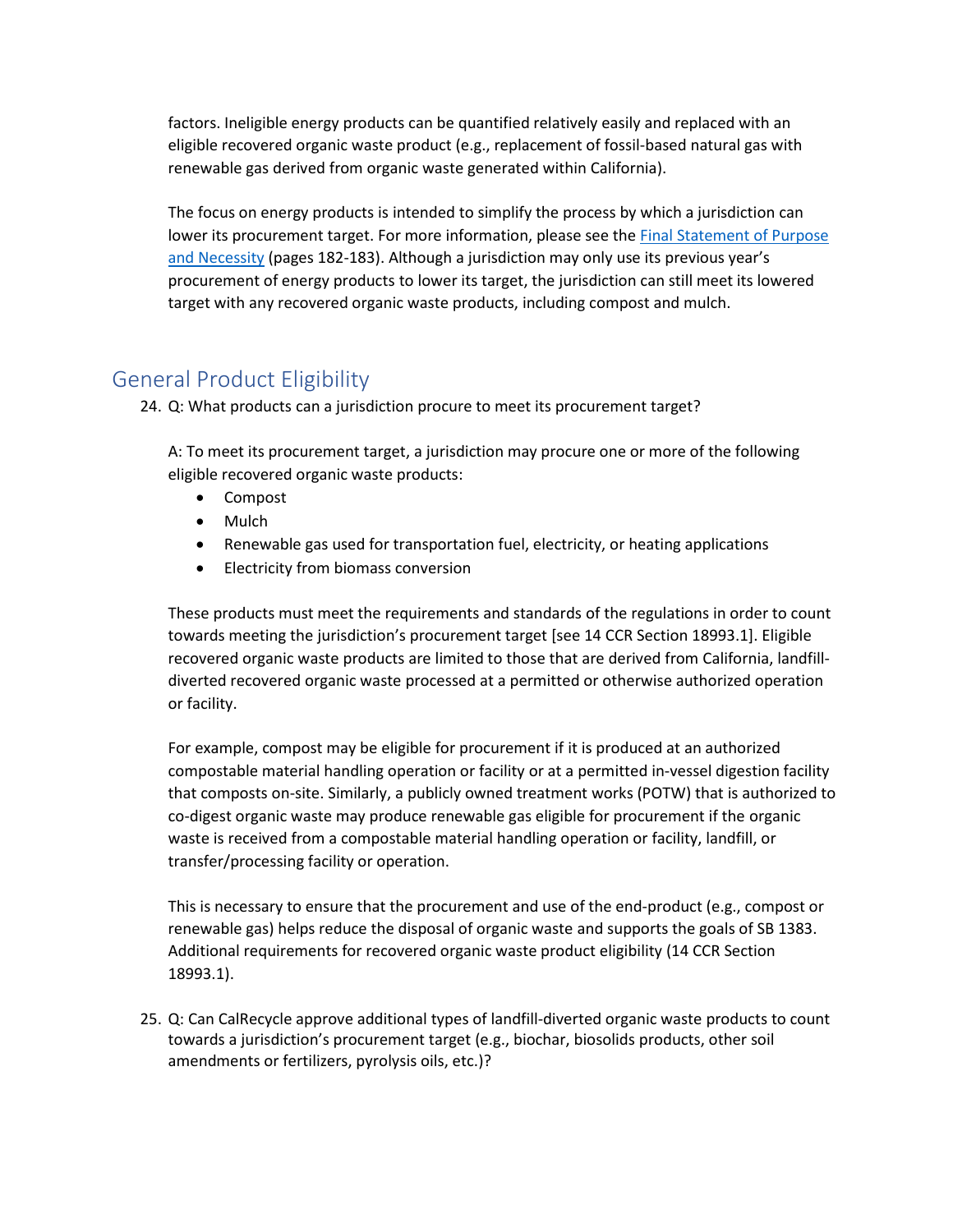factors. Ineligible energy products can be quantified relatively easily and replaced with an eligible recovered organic waste product (e.g., replacement of fossil-based natural gas with renewable gas derived from organic waste generated within California).

The focus on energy products is intended to simplify the process by which a jurisdiction can lower its procurement target. For more information, please see the [Final Statement of Purpose](https://www2.calrecycle.ca.gov/Docs/Web/118362)  [and Necessity](https://www2.calrecycle.ca.gov/Docs/Web/118362) (pages 182-183). Although a jurisdiction may only use its previous year's procurement of energy products to lower its target, the jurisdiction can still meet its lowered target with any recovered organic waste products, including compost and mulch.

# <span id="page-8-0"></span>General Product Eligibility

24. Q: What products can a jurisdiction procure to meet its procurement target?

A: To meet its procurement target, a jurisdiction may procure one or more of the following eligible recovered organic waste products:

- Compost
- Mulch
- Renewable gas used for transportation fuel, electricity, or heating applications
- Electricity from biomass conversion

These products must meet the requirements and standards of the regulations in order to count towards meeting the jurisdiction's procurement target [see 14 CCR Section 18993.1]. Eligible recovered organic waste products are limited to those that are derived from California, landfilldiverted recovered organic waste processed at a permitted or otherwise authorized operation or facility.

For example, compost may be eligible for procurement if it is produced at an authorized compostable material handling operation or facility or at a permitted in-vessel digestion facility that composts on-site. Similarly, a publicly owned treatment works (POTW) that is authorized to co-digest organic waste may produce renewable gas eligible for procurement if the organic waste is received from a compostable material handling operation or facility, landfill, or transfer/processing facility or operation.

This is necessary to ensure that the procurement and use of the end-product (e.g., compost or renewable gas) helps reduce the disposal of organic waste and supports the goals of SB 1383. Additional requirements for recovered organic waste product eligibility (14 CCR Section 18993.1).

25. Q: Can CalRecycle approve additional types of landfill-diverted organic waste products to count towards a jurisdiction's procurement target (e.g., biochar, biosolids products, other soil amendments or fertilizers, pyrolysis oils, etc.)?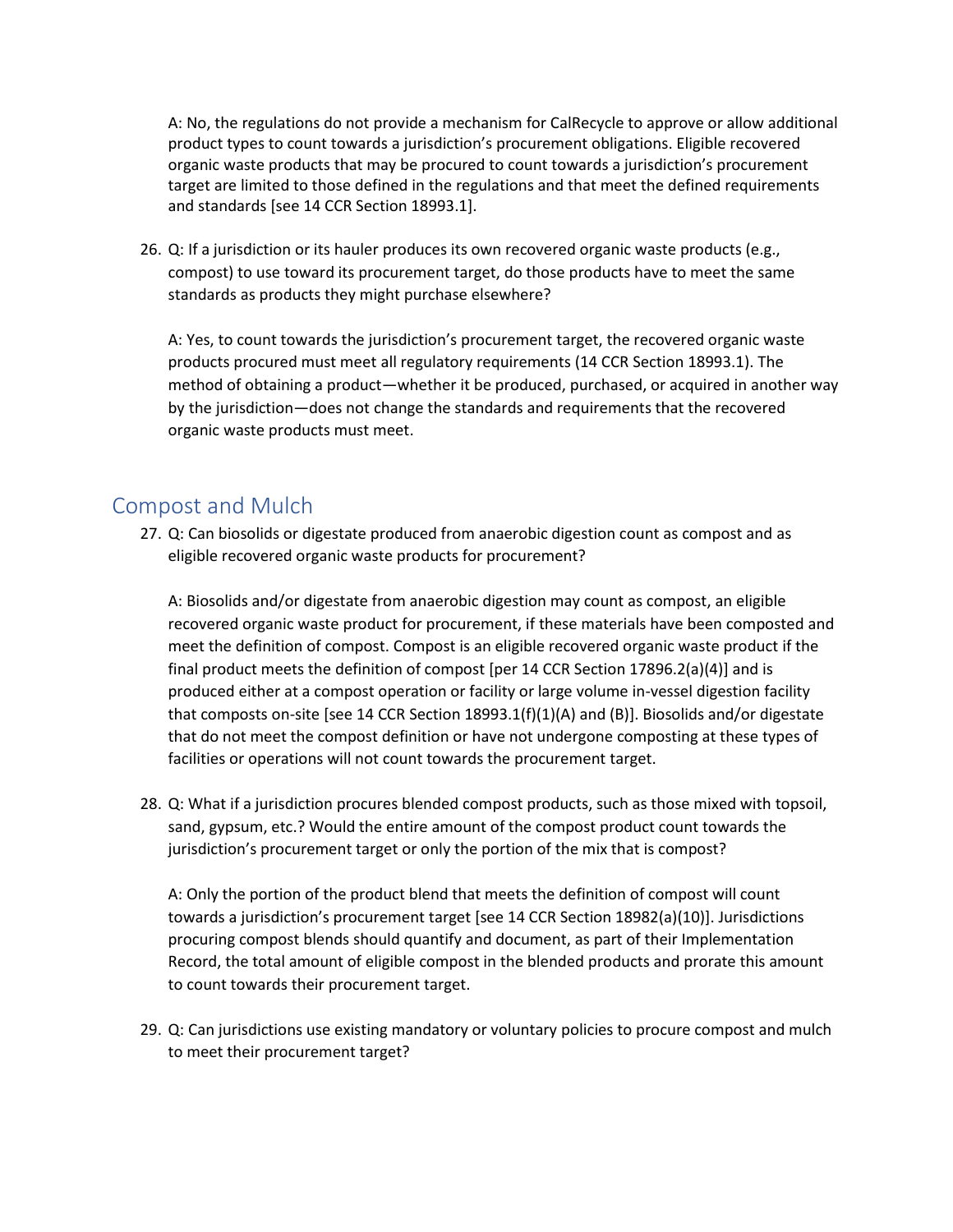A: No, the regulations do not provide a mechanism for CalRecycle to approve or allow additional product types to count towards a jurisdiction's procurement obligations. Eligible recovered organic waste products that may be procured to count towards a jurisdiction's procurement target are limited to those defined in the regulations and that meet the defined requirements and standards [see 14 CCR Section 18993.1].

26. Q: If a jurisdiction or its hauler produces its own recovered organic waste products (e.g., compost) to use toward its procurement target, do those products have to meet the same standards as products they might purchase elsewhere?

A: Yes, to count towards the jurisdiction's procurement target, the recovered organic waste products procured must meet all regulatory requirements (14 CCR Section 18993.1). The method of obtaining a product—whether it be produced, purchased, or acquired in another way by the jurisdiction—does not change the standards and requirements that the recovered organic waste products must meet.

# <span id="page-9-0"></span>Compost and Mulch

27. Q: Can biosolids or digestate produced from anaerobic digestion count as compost and as eligible recovered organic waste products for procurement?

A: Biosolids and/or digestate from anaerobic digestion may count as compost, an eligible recovered organic waste product for procurement, if these materials have been composted and meet the definition of compost. Compost is an eligible recovered organic waste product if the final product meets the definition of compost [per 14 CCR Section 17896.2(a)(4)] and is produced either at a compost operation or facility or large volume in-vessel digestion facility that composts on-site [see 14 CCR Section 18993.1(f)(1)(A) and (B)]. Biosolids and/or digestate that do not meet the compost definition or have not undergone composting at these types of facilities or operations will not count towards the procurement target.

28. Q: What if a jurisdiction procures blended compost products, such as those mixed with topsoil, sand, gypsum, etc.? Would the entire amount of the compost product count towards the jurisdiction's procurement target or only the portion of the mix that is compost?

A: Only the portion of the product blend that meets the definition of compost will count towards a jurisdiction's procurement target [see 14 CCR Section 18982(a)(10)]. Jurisdictions procuring compost blends should quantify and document, as part of their Implementation Record, the total amount of eligible compost in the blended products and prorate this amount to count towards their procurement target.

29. Q: Can jurisdictions use existing mandatory or voluntary policies to procure compost and mulch to meet their procurement target?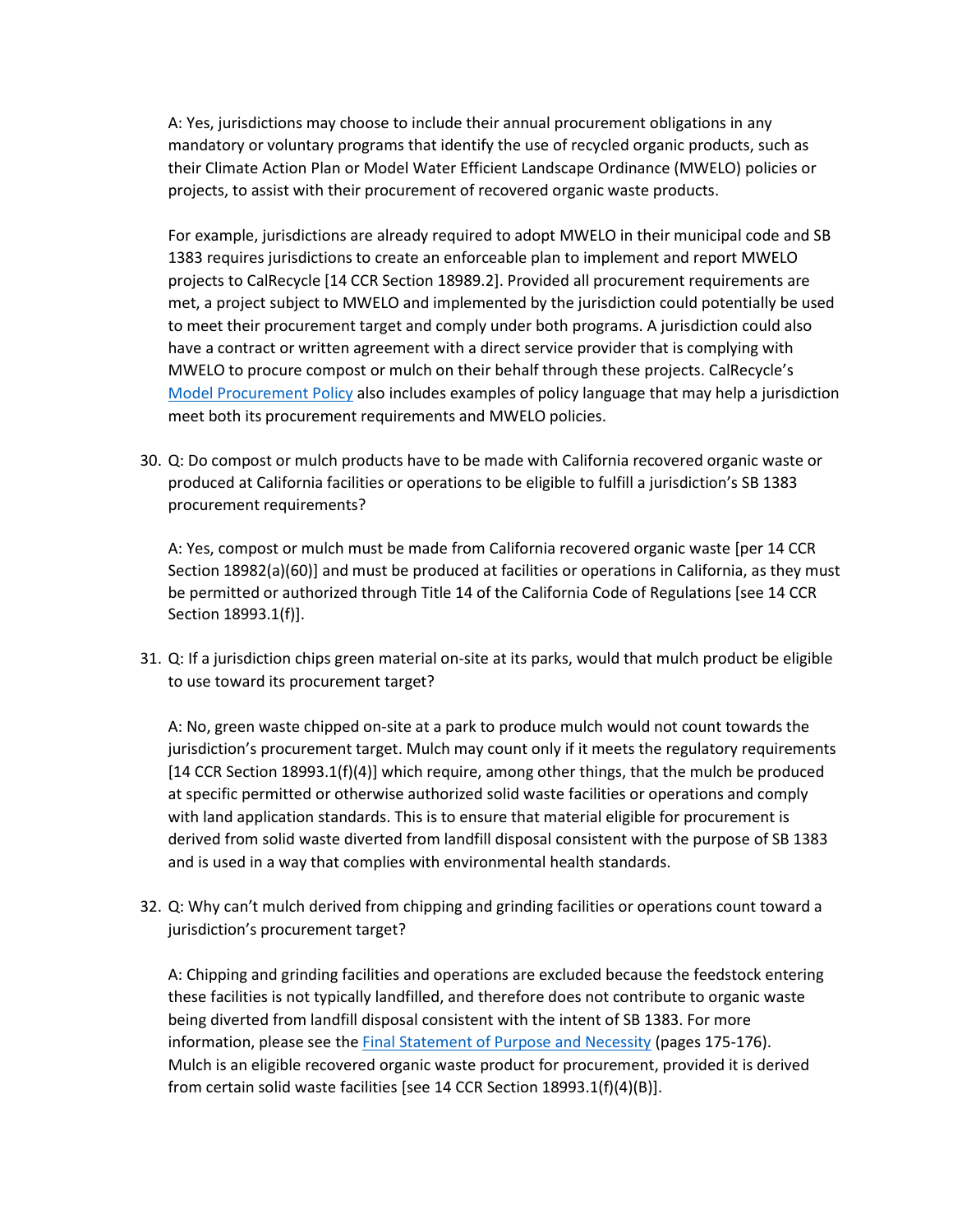A: Yes, jurisdictions may choose to include their annual procurement obligations in any mandatory or voluntary programs that identify the use of recycled organic products, such as their Climate Action Plan or Model Water Efficient Landscape Ordinance (MWELO) policies or projects, to assist with their procurement of recovered organic waste products.

For example, jurisdictions are already required to adopt MWELO in their municipal code and SB 1383 requires jurisdictions to create an enforceable plan to implement and report MWELO projects to CalRecycle [14 CCR Section 18989.2]. Provided all procurement requirements are met, a project subject to MWELO and implemented by the jurisdiction could potentially be used to meet their procurement target and comply under both programs. A jurisdiction could also have a contract or written agreement with a direct service provider that is complying with MWELO to procure compost or mulch on their behalf through these projects. CalRecycle's [Model Procurement Policy](https://www2.calrecycle.ca.gov/Docs/Web/117924) also includes examples of policy language that may help a jurisdiction meet both its procurement requirements and MWELO policies.

30. Q: Do compost or mulch products have to be made with California recovered organic waste or produced at California facilities or operations to be eligible to fulfill a jurisdiction's SB 1383 procurement requirements?

A: Yes, compost or mulch must be made from California recovered organic waste [per 14 CCR Section 18982(a)(60)] and must be produced at facilities or operations in California, as they must be permitted or authorized through Title 14 of the California Code of Regulations [see 14 CCR Section 18993.1(f)].

31. Q: If a jurisdiction chips green material on-site at its parks, would that mulch product be eligible to use toward its procurement target?

A: No, green waste chipped on-site at a park to produce mulch would not count towards the jurisdiction's procurement target. Mulch may count only if it meets the regulatory requirements [14 CCR Section 18993.1(f)(4)] which require, among other things, that the mulch be produced at specific permitted or otherwise authorized solid waste facilities or operations and comply with land application standards. This is to ensure that material eligible for procurement is derived from solid waste diverted from landfill disposal consistent with the purpose of SB 1383 and is used in a way that complies with environmental health standards.

32. Q: Why can't mulch derived from chipping and grinding facilities or operations count toward a jurisdiction's procurement target?

A: Chipping and grinding facilities and operations are excluded because the feedstock entering these facilities is not typically landfilled, and therefore does not contribute to organic waste being diverted from landfill disposal consistent with the intent of SB 1383. For more information, please see the [Final Statement of Purpose and Necessity](https://www2.calrecycle.ca.gov/Docs/Web/118362) (pages 175-176). Mulch is an eligible recovered organic waste product for procurement, provided it is derived from certain solid waste facilities [see 14 CCR Section 18993.1(f)(4)(B)].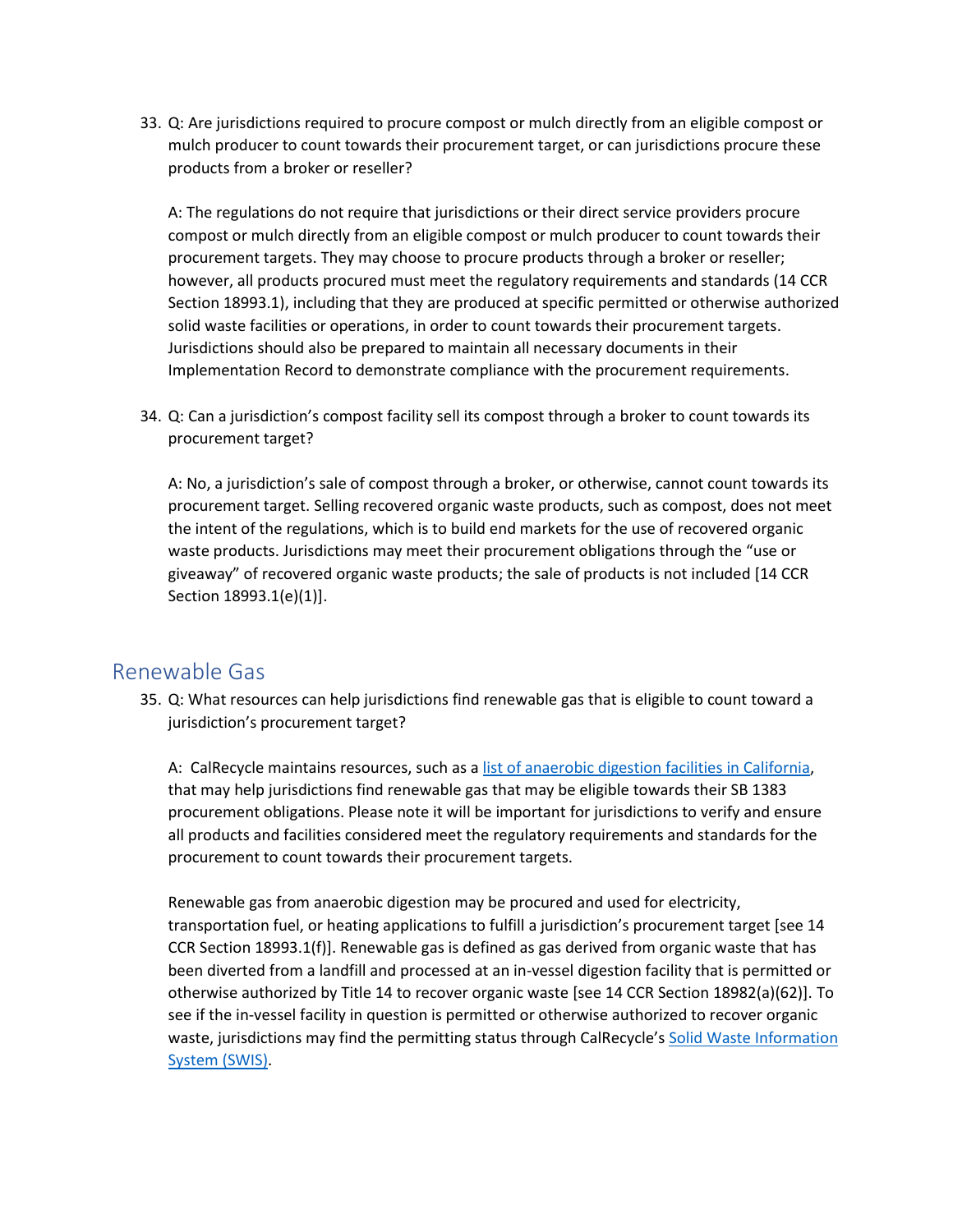33. Q: Are jurisdictions required to procure compost or mulch directly from an eligible compost or mulch producer to count towards their procurement target, or can jurisdictions procure these products from a broker or reseller?

A: The regulations do not require that jurisdictions or their direct service providers procure compost or mulch directly from an eligible compost or mulch producer to count towards their procurement targets. They may choose to procure products through a broker or reseller; however, all products procured must meet the regulatory requirements and standards (14 CCR Section 18993.1), including that they are produced at specific permitted or otherwise authorized solid waste facilities or operations, in order to count towards their procurement targets. Jurisdictions should also be prepared to maintain all necessary documents in their Implementation Record to demonstrate compliance with the procurement requirements.

34. Q: Can a jurisdiction's compost facility sell its compost through a broker to count towards its procurement target?

A: No, a jurisdiction's sale of compost through a broker, or otherwise, cannot count towards its procurement target. Selling recovered organic waste products, such as compost, does not meet the intent of the regulations, which is to build end markets for the use of recovered organic waste products. Jurisdictions may meet their procurement obligations through the "use or giveaway" of recovered organic waste products; the sale of products is not included [14 CCR Section 18993.1(e)(1)].

#### <span id="page-11-0"></span>Renewable Gas

35. Q: What resources can help jurisdictions find renewable gas that is eligible to count toward a jurisdiction's procurement target?

A: CalRecycle maintains resources, such as a [list of anaerobic digestion facilities in California,](https://www2.calrecycle.ca.gov/Docs/Web/115971) that may help jurisdictions find renewable gas that may be eligible towards their SB 1383 procurement obligations. Please note it will be important for jurisdictions to verify and ensure all products and facilities considered meet the regulatory requirements and standards for the procurement to count towards their procurement targets.

Renewable gas from anaerobic digestion may be procured and used for electricity, transportation fuel, or heating applications to fulfill a jurisdiction's procurement target [see 14 CCR Section 18993.1(f)]. Renewable gas is defined as gas derived from organic waste that has been diverted from a landfill and processed at an in-vessel digestion facility that is permitted or otherwise authorized by Title 14 to recover organic waste [see 14 CCR Section 18982(a)(62)]. To see if the in-vessel facility in question is permitted or otherwise authorized to recover organic waste, jurisdictions may find the permitting status through CalRecycle's [Solid Waste Information](https://www2.calrecycle.ca.gov/SolidWaste/Site/Search)  [System \(SWIS\).](https://www2.calrecycle.ca.gov/SolidWaste/Site/Search)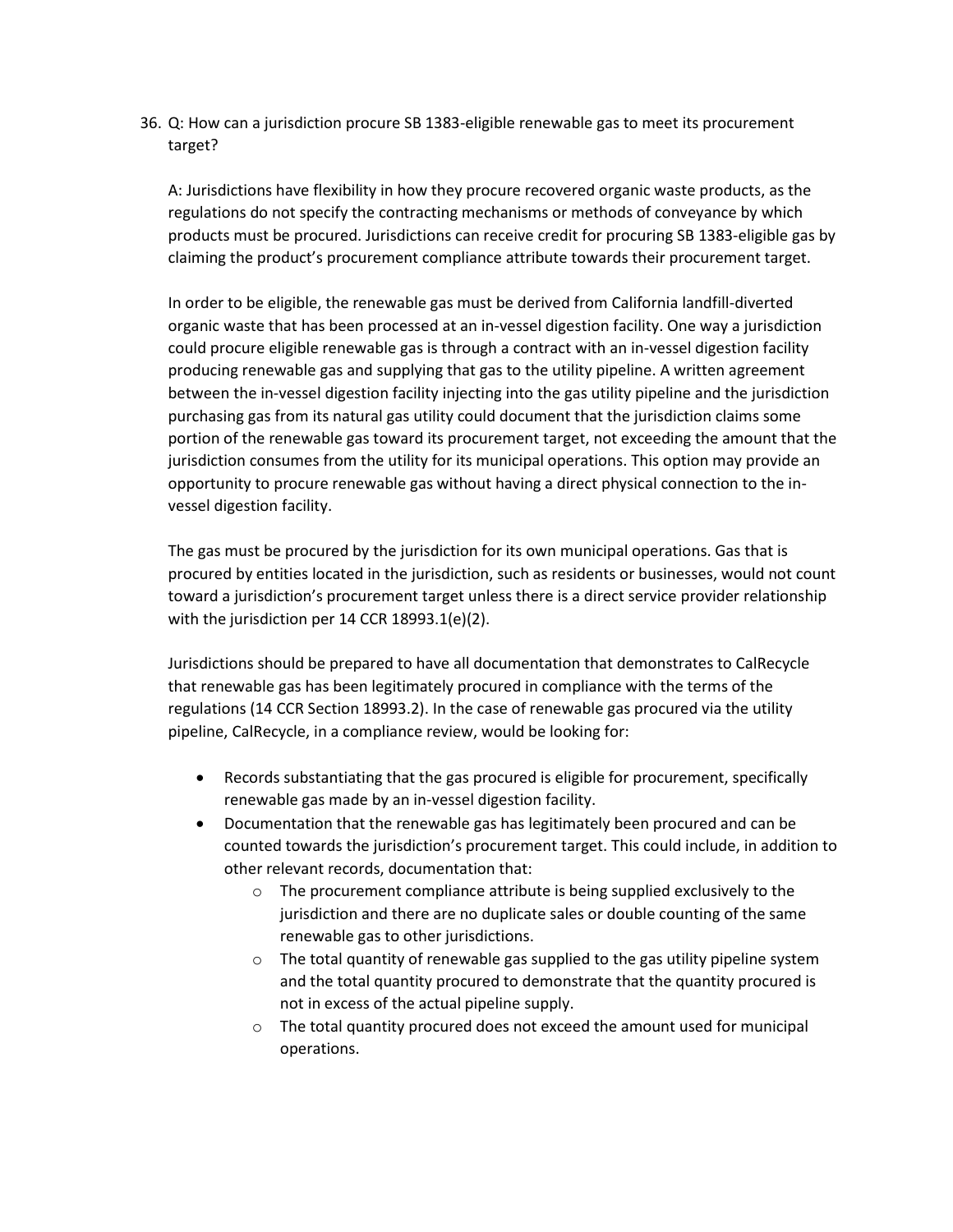36. Q: How can a jurisdiction procure SB 1383-eligible renewable gas to meet its procurement target?

A: Jurisdictions have flexibility in how they procure recovered organic waste products, as the regulations do not specify the contracting mechanisms or methods of conveyance by which products must be procured. Jurisdictions can receive credit for procuring SB 1383-eligible gas by claiming the product's procurement compliance attribute towards their procurement target.

In order to be eligible, the renewable gas must be derived from California landfill-diverted organic waste that has been processed at an in-vessel digestion facility. One way a jurisdiction could procure eligible renewable gas is through a contract with an in-vessel digestion facility producing renewable gas and supplying that gas to the utility pipeline. A written agreement between the in-vessel digestion facility injecting into the gas utility pipeline and the jurisdiction purchasing gas from its natural gas utility could document that the jurisdiction claims some portion of the renewable gas toward its procurement target, not exceeding the amount that the jurisdiction consumes from the utility for its municipal operations. This option may provide an opportunity to procure renewable gas without having a direct physical connection to the invessel digestion facility.

The gas must be procured by the jurisdiction for its own municipal operations. Gas that is procured by entities located in the jurisdiction, such as residents or businesses, would not count toward a jurisdiction's procurement target unless there is a direct service provider relationship with the jurisdiction per 14 CCR 18993.1(e)(2).

Jurisdictions should be prepared to have all documentation that demonstrates to CalRecycle that renewable gas has been legitimately procured in compliance with the terms of the regulations (14 CCR Section 18993.2). In the case of renewable gas procured via the utility pipeline, CalRecycle, in a compliance review, would be looking for:

- Records substantiating that the gas procured is eligible for procurement, specifically renewable gas made by an in-vessel digestion facility.
- Documentation that the renewable gas has legitimately been procured and can be counted towards the jurisdiction's procurement target. This could include, in addition to other relevant records, documentation that:
	- o The procurement compliance attribute is being supplied exclusively to the jurisdiction and there are no duplicate sales or double counting of the same renewable gas to other jurisdictions.
	- $\circ$  The total quantity of renewable gas supplied to the gas utility pipeline system and the total quantity procured to demonstrate that the quantity procured is not in excess of the actual pipeline supply.
	- o The total quantity procured does not exceed the amount used for municipal operations.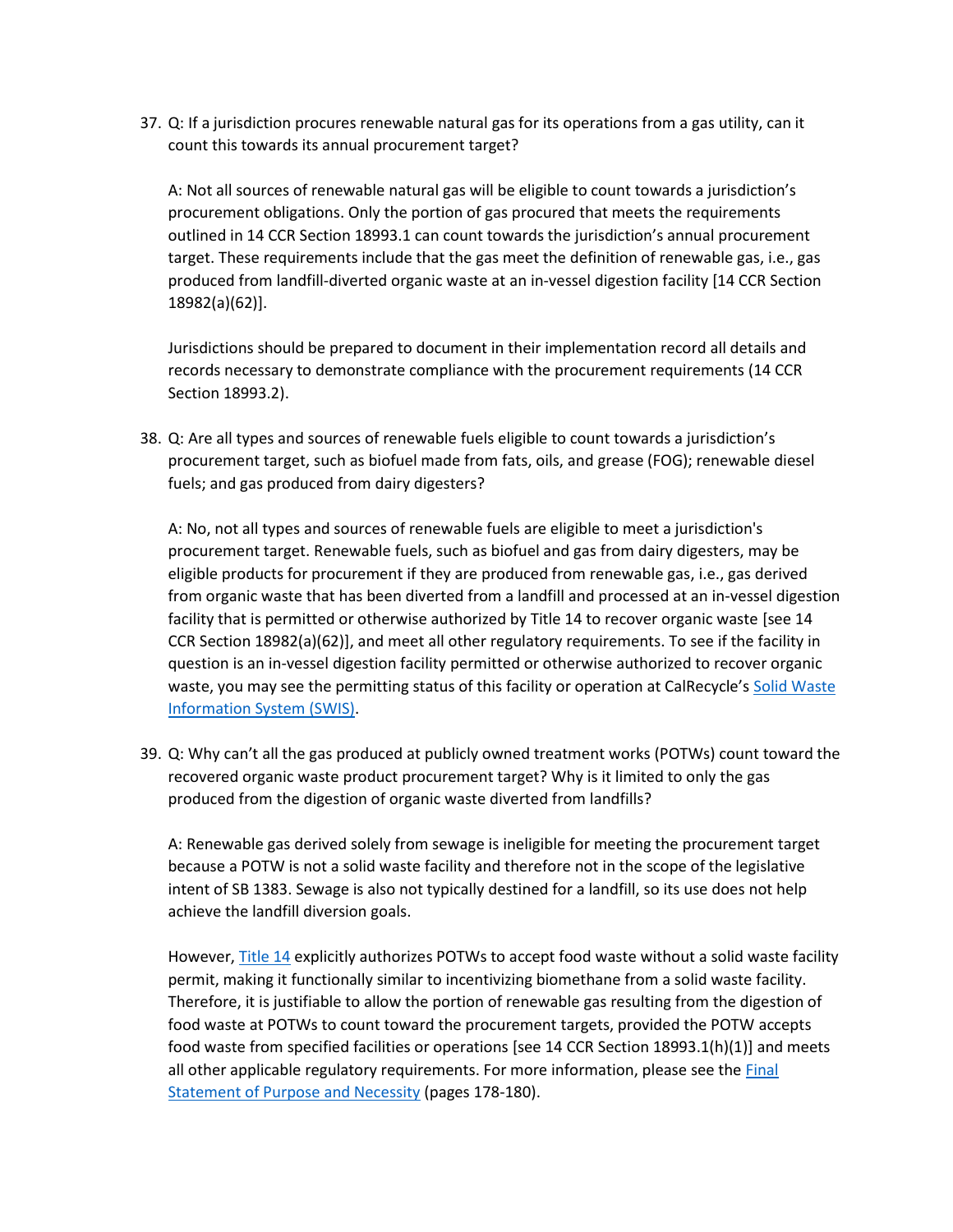37. Q: If a jurisdiction procures renewable natural gas for its operations from a gas utility, can it count this towards its annual procurement target?

A: Not all sources of renewable natural gas will be eligible to count towards a jurisdiction's procurement obligations. Only the portion of gas procured that meets the requirements outlined in 14 CCR Section 18993.1 can count towards the jurisdiction's annual procurement target. These requirements include that the gas meet the definition of renewable gas, i.e., gas produced from landfill-diverted organic waste at an in-vessel digestion facility [14 CCR Section 18982(a)(62)].

Jurisdictions should be prepared to document in their implementation record all details and records necessary to demonstrate compliance with the procurement requirements (14 CCR Section 18993.2).

38. Q: Are all types and sources of renewable fuels eligible to count towards a jurisdiction's procurement target, such as biofuel made from fats, oils, and grease (FOG); renewable diesel fuels; and gas produced from dairy digesters?

A: No, not all types and sources of renewable fuels are eligible to meet a jurisdiction's procurement target. Renewable fuels, such as biofuel and gas from dairy digesters, may be eligible products for procurement if they are produced from renewable gas, i.e., gas derived from organic waste that has been diverted from a landfill and processed at an in-vessel digestion facility that is permitted or otherwise authorized by Title 14 to recover organic waste [see 14 CCR Section 18982(a)(62)], and meet all other regulatory requirements. To see if the facility in question is an in-vessel digestion facility permitted or otherwise authorized to recover organic waste, you may see the permitting status of this facility or operation at CalRecycle's Solid Waste [Information System \(SWIS\).](https://www2.calrecycle.ca.gov/SolidWaste/Site/Search)

39. Q: Why can't all the gas produced at publicly owned treatment works (POTWs) count toward the recovered organic waste product procurement target? Why is it limited to only the gas produced from the digestion of organic waste diverted from landfills?

A: Renewable gas derived solely from sewage is ineligible for meeting the procurement target because a POTW is not a solid waste facility and therefore not in the scope of the legislative intent of SB 1383. Sewage is also not typically destined for a landfill, so its use does not help achieve the landfill diversion goals.

However[, Title 14](https://govt.westlaw.com/calregs/Document/IE54A7ED6815C409CB04CD3E5DD7B3382?viewType=FullText&originationContext=documenttoc&transitionType=CategoryPageItem&contextData=(sc.Default)&bhcp=1) explicitly authorizes POTWs to accept food waste without a solid waste facility permit, making it functionally similar to incentivizing biomethane from a solid waste facility. Therefore, it is justifiable to allow the portion of renewable gas resulting from the digestion of food waste at POTWs to count toward the procurement targets, provided the POTW accepts food waste from specified facilities or operations [see 14 CCR Section 18993.1(h)(1)] and meets all other applicable regulatory requirements. For more information, please see the Final [Statement of Purpose and Necessity](https://www2.calrecycle.ca.gov/Docs/Web/118362) (pages 178-180).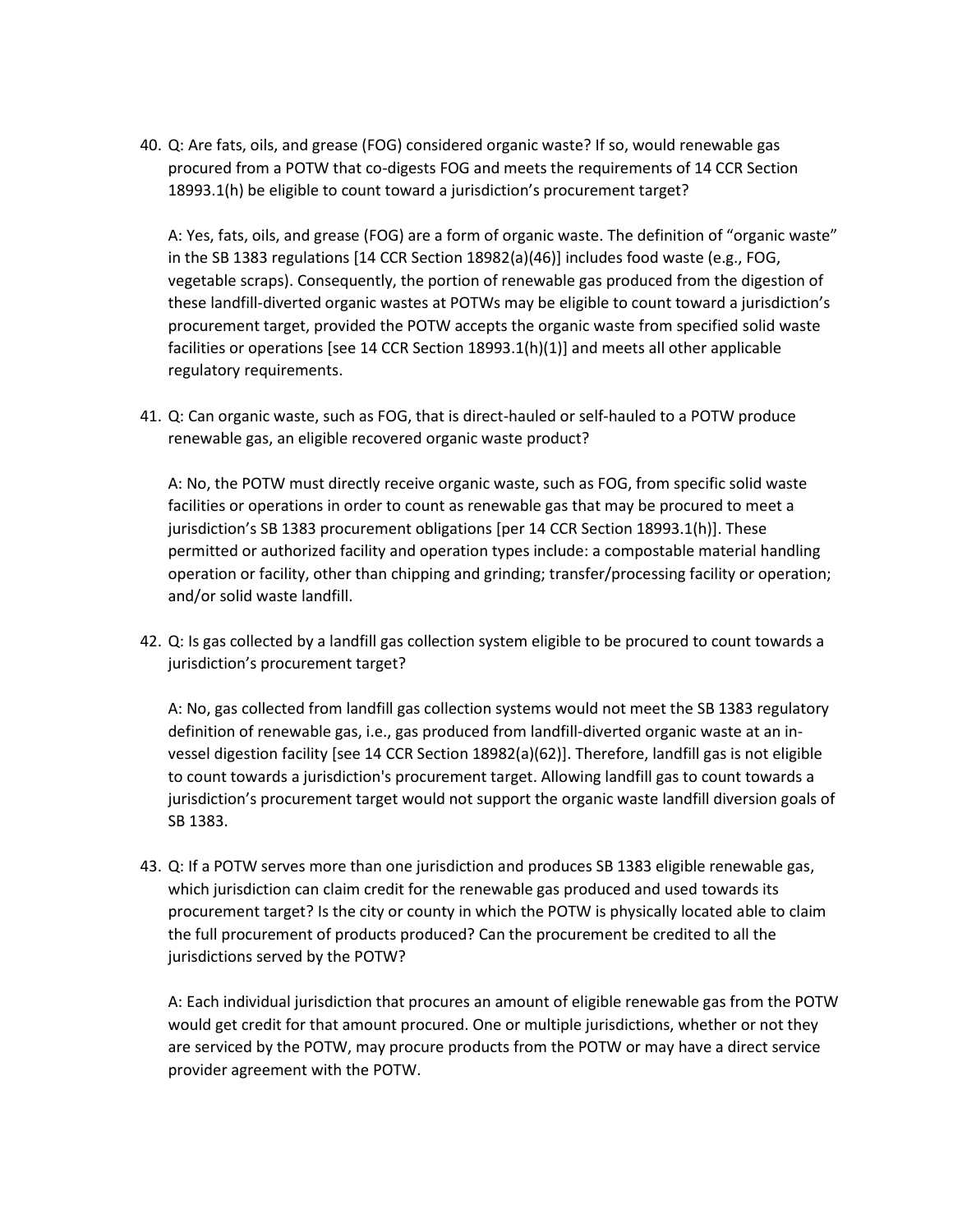40. Q: Are fats, oils, and grease (FOG) considered organic waste? If so, would renewable gas procured from a POTW that co-digests FOG and meets the requirements of 14 CCR Section 18993.1(h) be eligible to count toward a jurisdiction's procurement target?

A: Yes, fats, oils, and grease (FOG) are a form of organic waste. The definition of "organic waste" in the SB 1383 regulations [14 CCR Section 18982(a)(46)] includes food waste (e.g., FOG, vegetable scraps). Consequently, the portion of renewable gas produced from the digestion of these landfill-diverted organic wastes at POTWs may be eligible to count toward a jurisdiction's procurement target, provided the POTW accepts the organic waste from specified solid waste facilities or operations [see 14 CCR Section 18993.1(h)(1)] and meets all other applicable regulatory requirements.

41. Q: Can organic waste, such as FOG, that is direct-hauled or self-hauled to a POTW produce renewable gas, an eligible recovered organic waste product?

A: No, the POTW must directly receive organic waste, such as FOG, from specific solid waste facilities or operations in order to count as renewable gas that may be procured to meet a jurisdiction's SB 1383 procurement obligations [per 14 CCR Section 18993.1(h)]. These permitted or authorized facility and operation types include: a compostable material handling operation or facility, other than chipping and grinding; transfer/processing facility or operation; and/or solid waste landfill.

42. Q: Is gas collected by a landfill gas collection system eligible to be procured to count towards a jurisdiction's procurement target?

A: No, gas collected from landfill gas collection systems would not meet the SB 1383 regulatory definition of renewable gas, i.e., gas produced from landfill-diverted organic waste at an invessel digestion facility [see 14 CCR Section 18982(a)(62)]. Therefore, landfill gas is not eligible to count towards a jurisdiction's procurement target. Allowing landfill gas to count towards a jurisdiction's procurement target would not support the organic waste landfill diversion goals of SB 1383.

43. Q: If a POTW serves more than one jurisdiction and produces SB 1383 eligible renewable gas, which jurisdiction can claim credit for the renewable gas produced and used towards its procurement target? Is the city or county in which the POTW is physically located able to claim the full procurement of products produced? Can the procurement be credited to all the jurisdictions served by the POTW?

A: Each individual jurisdiction that procures an amount of eligible renewable gas from the POTW would get credit for that amount procured. One or multiple jurisdictions, whether or not they are serviced by the POTW, may procure products from the POTW or may have a direct service provider agreement with the POTW.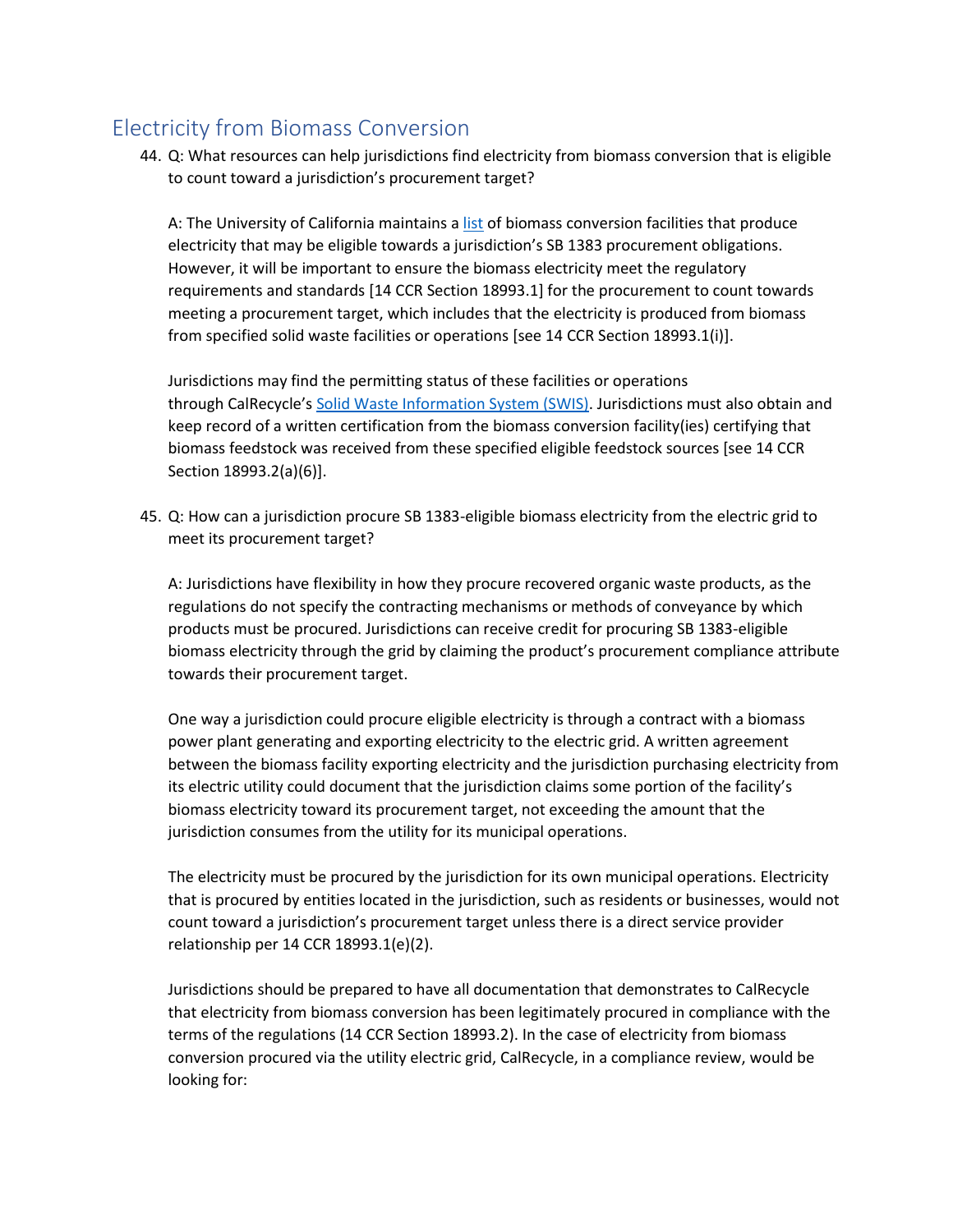# <span id="page-15-0"></span>Electricity from Biomass Conversion

44. Q: What resources can help jurisdictions find electricity from biomass conversion that is eligible to count toward a jurisdiction's procurement target?

A: The University of California maintains [a list](https://ucanr.edu/sites/WoodyBiomass/California_Biomass_Power_Plants/) of biomass conversion facilities that produce electricity that may be eligible towards a jurisdiction's SB 1383 procurement obligations. However, it will be important to ensure the biomass electricity meet the regulatory requirements and standards [14 CCR Section 18993.1] for the procurement to count towards meeting a procurement target, which includes that the electricity is produced from biomass from specified solid waste facilities or operations [see 14 CCR Section 18993.1(i)].

Jurisdictions may find the permitting status of these facilities or operations through CalRecycle's Solid [Waste Information System \(SWIS\).](https://www2.calrecycle.ca.gov/SolidWaste/Site/Search) Jurisdictions must also obtain and keep record of a written certification from the biomass conversion facility(ies) certifying that biomass feedstock was received from these specified eligible feedstock sources [see 14 CCR Section 18993.2(a)(6)].

45. Q: How can a jurisdiction procure SB 1383-eligible biomass electricity from the electric grid to meet its procurement target?

A: Jurisdictions have flexibility in how they procure recovered organic waste products, as the regulations do not specify the contracting mechanisms or methods of conveyance by which products must be procured. Jurisdictions can receive credit for procuring SB 1383-eligible biomass electricity through the grid by claiming the product's procurement compliance attribute towards their procurement target.

One way a jurisdiction could procure eligible electricity is through a contract with a biomass power plant generating and exporting electricity to the electric grid. A written agreement between the biomass facility exporting electricity and the jurisdiction purchasing electricity from its electric utility could document that the jurisdiction claims some portion of the facility's biomass electricity toward its procurement target, not exceeding the amount that the jurisdiction consumes from the utility for its municipal operations.

The electricity must be procured by the jurisdiction for its own municipal operations. Electricity that is procured by entities located in the jurisdiction, such as residents or businesses, would not count toward a jurisdiction's procurement target unless there is a direct service provider relationship per 14 CCR 18993.1(e)(2).

Jurisdictions should be prepared to have all documentation that demonstrates to CalRecycle that electricity from biomass conversion has been legitimately procured in compliance with the terms of the regulations (14 CCR Section 18993.2). In the case of electricity from biomass conversion procured via the utility electric grid, CalRecycle, in a compliance review, would be looking for: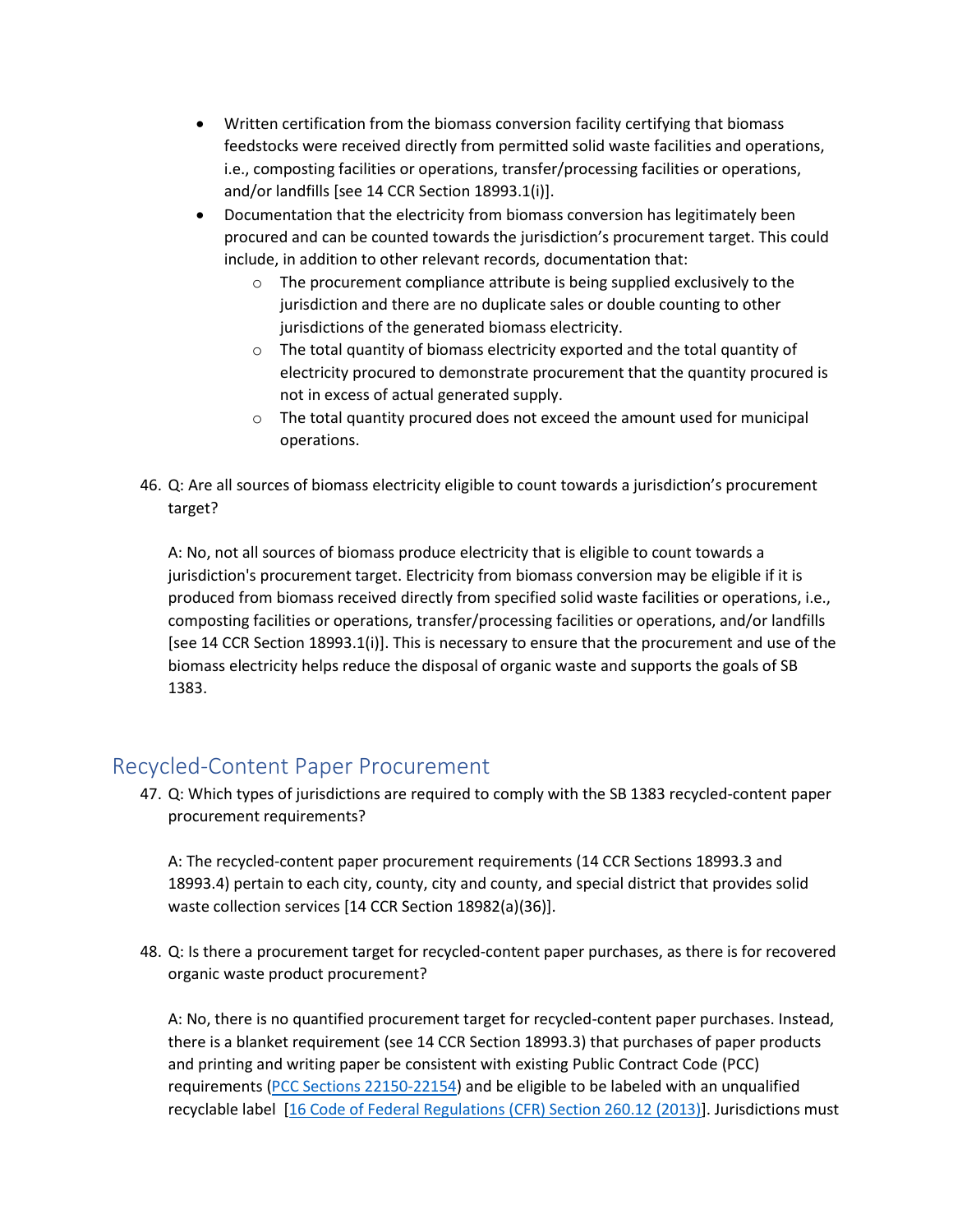- Written certification from the biomass conversion facility certifying that biomass feedstocks were received directly from permitted solid waste facilities and operations, i.e., composting facilities or operations, transfer/processing facilities or operations, and/or landfills [see 14 CCR Section 18993.1(i)].
- Documentation that the electricity from biomass conversion has legitimately been procured and can be counted towards the jurisdiction's procurement target. This could include, in addition to other relevant records, documentation that:
	- o The procurement compliance attribute is being supplied exclusively to the jurisdiction and there are no duplicate sales or double counting to other jurisdictions of the generated biomass electricity.
	- o The total quantity of biomass electricity exported and the total quantity of electricity procured to demonstrate procurement that the quantity procured is not in excess of actual generated supply.
	- o The total quantity procured does not exceed the amount used for municipal operations.
- 46. Q: Are all sources of biomass electricity eligible to count towards a jurisdiction's procurement target?

A: No, not all sources of biomass produce electricity that is eligible to count towards a jurisdiction's procurement target. Electricity from biomass conversion may be eligible if it is produced from biomass received directly from specified solid waste facilities or operations, i.e., composting facilities or operations, transfer/processing facilities or operations, and/or landfills [see 14 CCR Section 18993.1(i)]. This is necessary to ensure that the procurement and use of the biomass electricity helps reduce the disposal of organic waste and supports the goals of SB 1383.

# <span id="page-16-0"></span>Recycled-Content Paper Procurement

47. Q: Which types of jurisdictions are required to comply with the SB 1383 recycled-content paper procurement requirements?

A: The recycled-content paper procurement requirements (14 CCR Sections 18993.3 and 18993.4) pertain to each city, county, city and county, and special district that provides solid waste collection services [14 CCR Section 18982(a)(36)].

48. Q: Is there a procurement target for recycled-content paper purchases, as there is for recovered organic waste product procurement?

A: No, there is no quantified procurement target for recycled-content paper purchases. Instead, there is a blanket requirement (see 14 CCR Section 18993.3) that purchases of paper products and printing and writing paper be consistent with existing Public Contract Code (PCC) requirements [\(PCC Sections 22150-22154\)](https://leginfo.legislature.ca.gov/faces/codes_displayText.xhtml?lawCode=PCC&division=2.&title=&part=3.&chapter=3.5.&article=) and be eligible to be labeled with an unqualified recyclable label [\[16 Code of Federal Regulations \(CFR\) Section 260.12](https://www.law.cornell.edu/cfr/text/16/260.12) (2013)]. Jurisdictions must